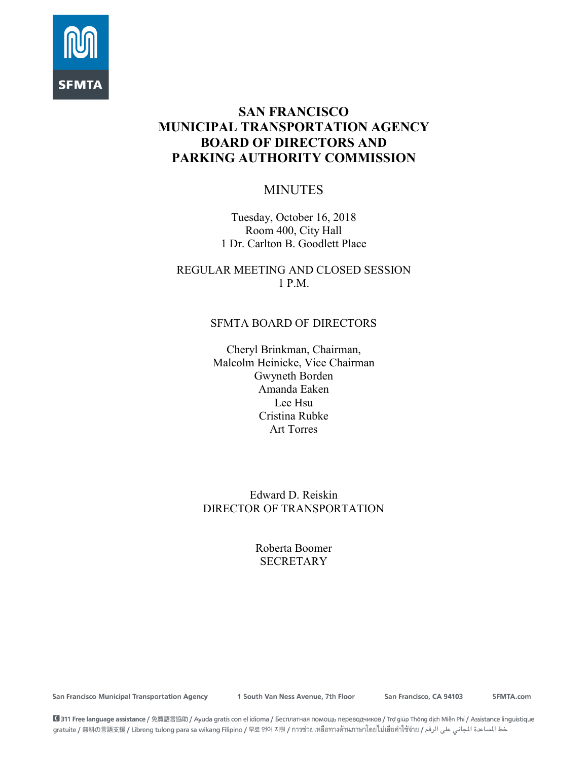

# **SAN FRANCISCO MUNICIPAL TRANSPORTATION AGENCY BOARD OF DIRECTORS AND PARKING AUTHORITY COMMISSION**

# MINUTES

Tuesday, October 16, 2018 Room 400, City Hall 1 Dr. Carlton B. Goodlett Place

REGULAR MEETING AND CLOSED SESSION 1 P.M.

# SFMTA BOARD OF DIRECTORS

Cheryl Brinkman, Chairman, Malcolm Heinicke, Vice Chairman Gwyneth Borden Amanda Eaken Lee Hsu Cristina Rubke Art Torres

Edward D. Reiskin DIRECTOR OF TRANSPORTATION

> Roberta Boomer **SECRETARY**

**San Francisco Municipal Transportation Agency** 

1 South Van Ness Avenue, 7th Floor

San Francisco, CA 94103

SFMTA.com

■ 311 Free language assistance / 免費語言協助 / Ayuda gratis con el idioma / Бесплатная помощь переводчиков / Trợ giúp Thông dịch Miễn Phí / Assistance linguistique خط المساعدة المجاني على الرقم / gratuite / 無料の言語支援 / Libreng tulong para sa wikang Filipino / 무료 언어 지원 / การช่วยเหลือทางด้านภาษาโดยไม่เสียค่าใช้จ่าย / عطالساعدة المجاني على الرقم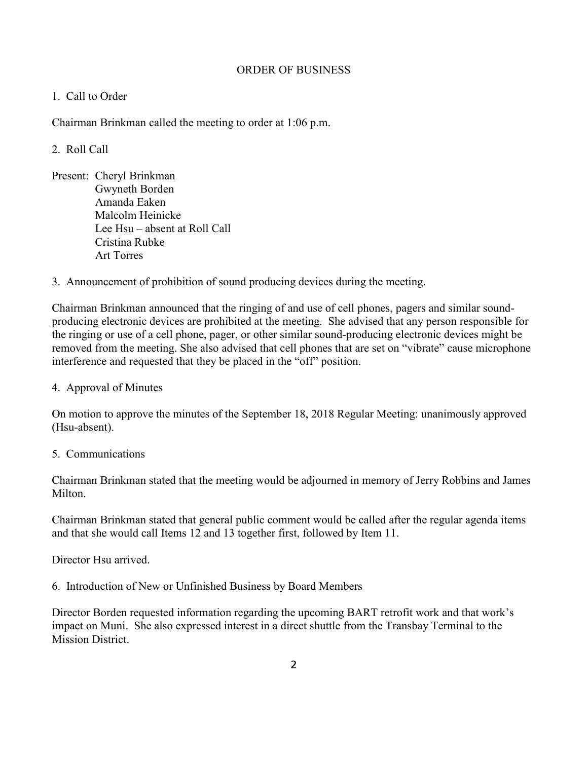## ORDER OF BUSINESS

# 1. Call to Order

Chairman Brinkman called the meeting to order at 1:06 p.m.

# 2. Roll Call

- Present: Cheryl Brinkman Gwyneth Borden Amanda Eaken Malcolm Heinicke Lee Hsu – absent at Roll Call Cristina Rubke Art Torres
- 3. Announcement of prohibition of sound producing devices during the meeting.

Chairman Brinkman announced that the ringing of and use of cell phones, pagers and similar soundproducing electronic devices are prohibited at the meeting. She advised that any person responsible for the ringing or use of a cell phone, pager, or other similar sound-producing electronic devices might be removed from the meeting. She also advised that cell phones that are set on "vibrate" cause microphone interference and requested that they be placed in the "off" position.

4. Approval of Minutes

On motion to approve the minutes of the September 18, 2018 Regular Meeting: unanimously approved (Hsu-absent).

5. Communications

Chairman Brinkman stated that the meeting would be adjourned in memory of Jerry Robbins and James **Milton** 

Chairman Brinkman stated that general public comment would be called after the regular agenda items and that she would call Items 12 and 13 together first, followed by Item 11.

Director Hsu arrived.

6. Introduction of New or Unfinished Business by Board Members

Director Borden requested information regarding the upcoming BART retrofit work and that work's impact on Muni. She also expressed interest in a direct shuttle from the Transbay Terminal to the **Mission District.**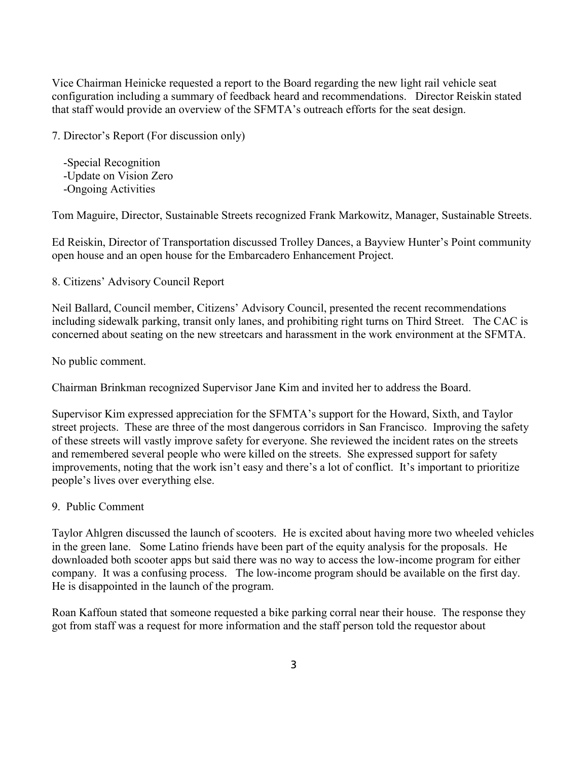Vice Chairman Heinicke requested a report to the Board regarding the new light rail vehicle seat configuration including a summary of feedback heard and recommendations. Director Reiskin stated that staff would provide an overview of the SFMTA's outreach efforts for the seat design.

7. Director's Report (For discussion only)

 -Special Recognition -Update on Vision Zero -Ongoing Activities

Tom Maguire, Director, Sustainable Streets recognized Frank Markowitz, Manager, Sustainable Streets.

Ed Reiskin, Director of Transportation discussed Trolley Dances, a Bayview Hunter's Point community open house and an open house for the Embarcadero Enhancement Project.

8. Citizens' Advisory Council Report

Neil Ballard, Council member, Citizens' Advisory Council, presented the recent recommendations including sidewalk parking, transit only lanes, and prohibiting right turns on Third Street. The CAC is concerned about seating on the new streetcars and harassment in the work environment at the SFMTA.

No public comment.

Chairman Brinkman recognized Supervisor Jane Kim and invited her to address the Board.

Supervisor Kim expressed appreciation for the SFMTA's support for the Howard, Sixth, and Taylor street projects. These are three of the most dangerous corridors in San Francisco. Improving the safety of these streets will vastly improve safety for everyone. She reviewed the incident rates on the streets and remembered several people who were killed on the streets. She expressed support for safety improvements, noting that the work isn't easy and there's a lot of conflict. It's important to prioritize people's lives over everything else.

9. Public Comment

Taylor Ahlgren discussed the launch of scooters. He is excited about having more two wheeled vehicles in the green lane. Some Latino friends have been part of the equity analysis for the proposals. He downloaded both scooter apps but said there was no way to access the low-income program for either company. It was a confusing process. The low-income program should be available on the first day. He is disappointed in the launch of the program.

Roan Kaffoun stated that someone requested a bike parking corral near their house. The response they got from staff was a request for more information and the staff person told the requestor about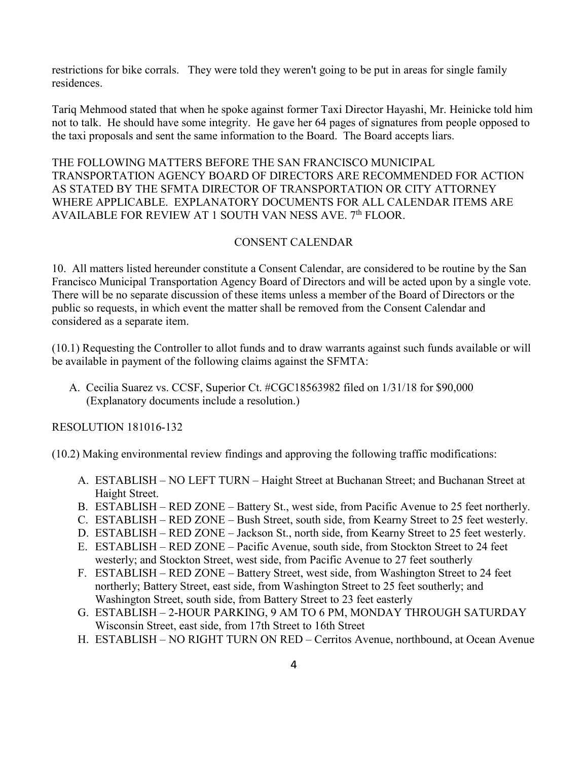restrictions for bike corrals. They were told they weren't going to be put in areas for single family residences.

Tariq Mehmood stated that when he spoke against former Taxi Director Hayashi, Mr. Heinicke told him not to talk. He should have some integrity. He gave her 64 pages of signatures from people opposed to the taxi proposals and sent the same information to the Board. The Board accepts liars.

THE FOLLOWING MATTERS BEFORE THE SAN FRANCISCO MUNICIPAL TRANSPORTATION AGENCY BOARD OF DIRECTORS ARE RECOMMENDED FOR ACTION AS STATED BY THE SFMTA DIRECTOR OF TRANSPORTATION OR CITY ATTORNEY WHERE APPLICABLE. EXPLANATORY DOCUMENTS FOR ALL CALENDAR ITEMS ARE AVAILABLE FOR REVIEW AT 1 SOUTH VAN NESS AVE. 7<sup>th</sup> FLOOR.

# CONSENT CALENDAR

10. All matters listed hereunder constitute a Consent Calendar, are considered to be routine by the San Francisco Municipal Transportation Agency Board of Directors and will be acted upon by a single vote. There will be no separate discussion of these items unless a member of the Board of Directors or the public so requests, in which event the matter shall be removed from the Consent Calendar and considered as a separate item.

(10.1) Requesting the Controller to allot funds and to draw warrants against such funds available or will be available in payment of the following claims against the SFMTA:

A. Cecilia Suarez vs. CCSF, Superior Ct. #CGC18563982 filed on 1/31/18 for \$90,000 (Explanatory documents include a resolution.)

RESOLUTION 181016-132

(10.2) Making environmental review findings and approving the following traffic modifications:

- A. ESTABLISH NO LEFT TURN Haight Street at Buchanan Street; and Buchanan Street at Haight Street.
- B. ESTABLISH RED ZONE Battery St., west side, from Pacific Avenue to 25 feet northerly.
- C. ESTABLISH RED ZONE Bush Street, south side, from Kearny Street to 25 feet westerly.
- D. ESTABLISH RED ZONE Jackson St., north side, from Kearny Street to 25 feet westerly.
- E. ESTABLISH RED ZONE Pacific Avenue, south side, from Stockton Street to 24 feet westerly; and Stockton Street, west side, from Pacific Avenue to 27 feet southerly
- F. ESTABLISH RED ZONE Battery Street, west side, from Washington Street to 24 feet northerly; Battery Street, east side, from Washington Street to 25 feet southerly; and Washington Street, south side, from Battery Street to 23 feet easterly
- G. ESTABLISH 2-HOUR PARKING, 9 AM TO 6 PM, MONDAY THROUGH SATURDAY Wisconsin Street, east side, from 17th Street to 16th Street
- H. ESTABLISH NO RIGHT TURN ON RED Cerritos Avenue, northbound, at Ocean Avenue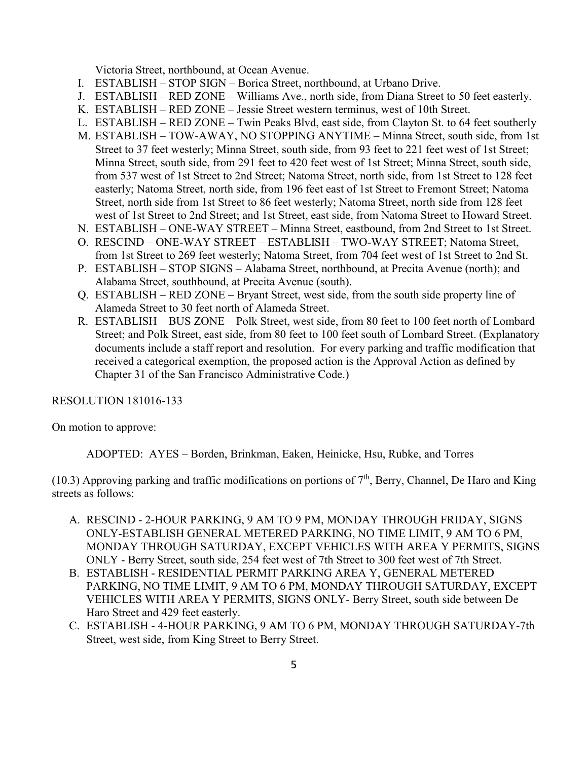Victoria Street, northbound, at Ocean Avenue.

- I. ESTABLISH STOP SIGN Borica Street, northbound, at Urbano Drive.
- J. ESTABLISH RED ZONE Williams Ave., north side, from Diana Street to 50 feet easterly.
- K. ESTABLISH RED ZONE Jessie Street western terminus, west of 10th Street.
- L. ESTABLISH RED ZONE Twin Peaks Blvd, east side, from Clayton St. to 64 feet southerly
- M. ESTABLISH TOW-AWAY, NO STOPPING ANYTIME Minna Street, south side, from 1st Street to 37 feet westerly; Minna Street, south side, from 93 feet to 221 feet west of 1st Street; Minna Street, south side, from 291 feet to 420 feet west of 1st Street; Minna Street, south side, from 537 west of 1st Street to 2nd Street; Natoma Street, north side, from 1st Street to 128 feet easterly; Natoma Street, north side, from 196 feet east of 1st Street to Fremont Street; Natoma Street, north side from 1st Street to 86 feet westerly; Natoma Street, north side from 128 feet west of 1st Street to 2nd Street; and 1st Street, east side, from Natoma Street to Howard Street.
- N. ESTABLISH ONE-WAY STREET Minna Street, eastbound, from 2nd Street to 1st Street.
- O. RESCIND ONE-WAY STREET ESTABLISH TWO-WAY STREET; Natoma Street, from 1st Street to 269 feet westerly; Natoma Street, from 704 feet west of 1st Street to 2nd St.
- P. ESTABLISH STOP SIGNS Alabama Street, northbound, at Precita Avenue (north); and Alabama Street, southbound, at Precita Avenue (south).
- Q. ESTABLISH RED ZONE Bryant Street, west side, from the south side property line of Alameda Street to 30 feet north of Alameda Street.
- R. ESTABLISH BUS ZONE Polk Street, west side, from 80 feet to 100 feet north of Lombard Street; and Polk Street, east side, from 80 feet to 100 feet south of Lombard Street. (Explanatory documents include a staff report and resolution. For every parking and traffic modification that received a categorical exemption, the proposed action is the Approval Action as defined by Chapter 31 of the San Francisco Administrative Code.)

## RESOLUTION 181016-133

On motion to approve:

ADOPTED: AYES – Borden, Brinkman, Eaken, Heinicke, Hsu, Rubke, and Torres

(10.3) Approving parking and traffic modifications on portions of  $7<sup>th</sup>$ , Berry, Channel, De Haro and King streets as follows:

- A. RESCIND 2-HOUR PARKING, 9 AM TO 9 PM, MONDAY THROUGH FRIDAY, SIGNS ONLY-ESTABLISH GENERAL METERED PARKING, NO TIME LIMIT, 9 AM TO 6 PM, MONDAY THROUGH SATURDAY, EXCEPT VEHICLES WITH AREA Y PERMITS, SIGNS ONLY - Berry Street, south side, 254 feet west of 7th Street to 300 feet west of 7th Street.
- B. ESTABLISH RESIDENTIAL PERMIT PARKING AREA Y, GENERAL METERED PARKING, NO TIME LIMIT, 9 AM TO 6 PM, MONDAY THROUGH SATURDAY, EXCEPT VEHICLES WITH AREA Y PERMITS, SIGNS ONLY- Berry Street, south side between De Haro Street and 429 feet easterly.
- C. ESTABLISH 4-HOUR PARKING, 9 AM TO 6 PM, MONDAY THROUGH SATURDAY-7th Street, west side, from King Street to Berry Street.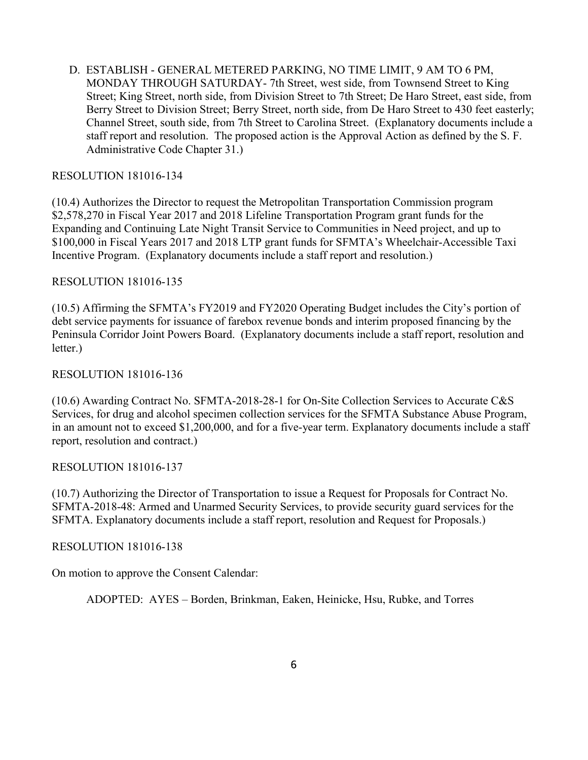D. ESTABLISH - GENERAL METERED PARKING, NO TIME LIMIT, 9 AM TO 6 PM, MONDAY THROUGH SATURDAY- 7th Street, west side, from Townsend Street to King Street; King Street, north side, from Division Street to 7th Street; De Haro Street, east side, from Berry Street to Division Street; Berry Street, north side, from De Haro Street to 430 feet easterly; Channel Street, south side, from 7th Street to Carolina Street. (Explanatory documents include a staff report and resolution. The proposed action is the Approval Action as defined by the S. F. Administrative Code Chapter 31.)

## RESOLUTION 181016-134

(10.4) Authorizes the Director to request the Metropolitan Transportation Commission program \$2,578,270 in Fiscal Year 2017 and 2018 Lifeline Transportation Program grant funds for the Expanding and Continuing Late Night Transit Service to Communities in Need project, and up to \$100,000 in Fiscal Years 2017 and 2018 LTP grant funds for SFMTA's Wheelchair-Accessible Taxi Incentive Program. (Explanatory documents include a staff report and resolution.)

# RESOLUTION 181016-135

(10.5) Affirming the SFMTA's FY2019 and FY2020 Operating Budget includes the City's portion of debt service payments for issuance of farebox revenue bonds and interim proposed financing by the Peninsula Corridor Joint Powers Board. (Explanatory documents include a staff report, resolution and letter.)

# RESOLUTION 181016-136

(10.6) Awarding Contract No. SFMTA-2018-28-1 for On-Site Collection Services to Accurate C&S Services, for drug and alcohol specimen collection services for the SFMTA Substance Abuse Program, in an amount not to exceed \$1,200,000, and for a five-year term. Explanatory documents include a staff report, resolution and contract.)

## RESOLUTION 181016-137

(10.7) Authorizing the Director of Transportation to issue a Request for Proposals for Contract No. SFMTA-2018-48: Armed and Unarmed Security Services, to provide security guard services for the SFMTA. Explanatory documents include a staff report, resolution and Request for Proposals.)

## RESOLUTION 181016-138

On motion to approve the Consent Calendar:

ADOPTED: AYES – Borden, Brinkman, Eaken, Heinicke, Hsu, Rubke, and Torres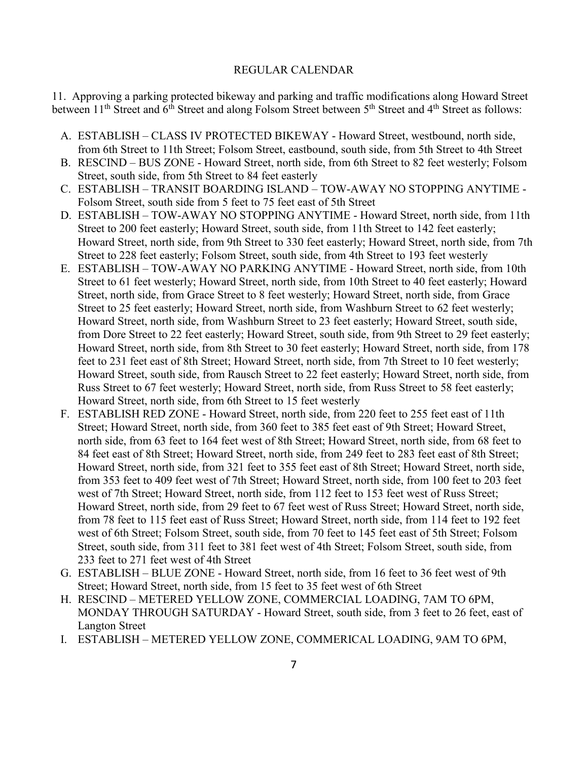### REGULAR CALENDAR

11. Approving a parking protected bikeway and parking and traffic modifications along Howard Street between 11<sup>th</sup> Street and 6<sup>th</sup> Street and along Folsom Street between 5<sup>th</sup> Street and 4<sup>th</sup> Street as follows:

- A. ESTABLISH CLASS IV PROTECTED BIKEWAY Howard Street, westbound, north side, from 6th Street to 11th Street; Folsom Street, eastbound, south side, from 5th Street to 4th Street
- B. RESCIND BUS ZONE Howard Street, north side, from 6th Street to 82 feet westerly; Folsom Street, south side, from 5th Street to 84 feet easterly
- C. ESTABLISH TRANSIT BOARDING ISLAND TOW-AWAY NO STOPPING ANYTIME Folsom Street, south side from 5 feet to 75 feet east of 5th Street
- D. ESTABLISH TOW-AWAY NO STOPPING ANYTIME Howard Street, north side, from 11th Street to 200 feet easterly; Howard Street, south side, from 11th Street to 142 feet easterly; Howard Street, north side, from 9th Street to 330 feet easterly; Howard Street, north side, from 7th Street to 228 feet easterly; Folsom Street, south side, from 4th Street to 193 feet westerly
- E. ESTABLISH TOW-AWAY NO PARKING ANYTIME Howard Street, north side, from 10th Street to 61 feet westerly; Howard Street, north side, from 10th Street to 40 feet easterly; Howard Street, north side, from Grace Street to 8 feet westerly; Howard Street, north side, from Grace Street to 25 feet easterly; Howard Street, north side, from Washburn Street to 62 feet westerly; Howard Street, north side, from Washburn Street to 23 feet easterly; Howard Street, south side, from Dore Street to 22 feet easterly; Howard Street, south side, from 9th Street to 29 feet easterly; Howard Street, north side, from 8th Street to 30 feet easterly; Howard Street, north side, from 178 feet to 231 feet east of 8th Street; Howard Street, north side, from 7th Street to 10 feet westerly; Howard Street, south side, from Rausch Street to 22 feet easterly; Howard Street, north side, from Russ Street to 67 feet westerly; Howard Street, north side, from Russ Street to 58 feet easterly; Howard Street, north side, from 6th Street to 15 feet westerly
- F. ESTABLISH RED ZONE Howard Street, north side, from 220 feet to 255 feet east of 11th Street; Howard Street, north side, from 360 feet to 385 feet east of 9th Street; Howard Street, north side, from 63 feet to 164 feet west of 8th Street; Howard Street, north side, from 68 feet to 84 feet east of 8th Street; Howard Street, north side, from 249 feet to 283 feet east of 8th Street; Howard Street, north side, from 321 feet to 355 feet east of 8th Street; Howard Street, north side, from 353 feet to 409 feet west of 7th Street; Howard Street, north side, from 100 feet to 203 feet west of 7th Street; Howard Street, north side, from 112 feet to 153 feet west of Russ Street; Howard Street, north side, from 29 feet to 67 feet west of Russ Street; Howard Street, north side, from 78 feet to 115 feet east of Russ Street; Howard Street, north side, from 114 feet to 192 feet west of 6th Street; Folsom Street, south side, from 70 feet to 145 feet east of 5th Street; Folsom Street, south side, from 311 feet to 381 feet west of 4th Street; Folsom Street, south side, from 233 feet to 271 feet west of 4th Street
- G. ESTABLISH BLUE ZONE Howard Street, north side, from 16 feet to 36 feet west of 9th Street; Howard Street, north side, from 15 feet to 35 feet west of 6th Street
- H. RESCIND METERED YELLOW ZONE, COMMERCIAL LOADING, 7AM TO 6PM, MONDAY THROUGH SATURDAY - Howard Street, south side, from 3 feet to 26 feet, east of Langton Street
- I. ESTABLISH METERED YELLOW ZONE, COMMERICAL LOADING, 9AM TO 6PM,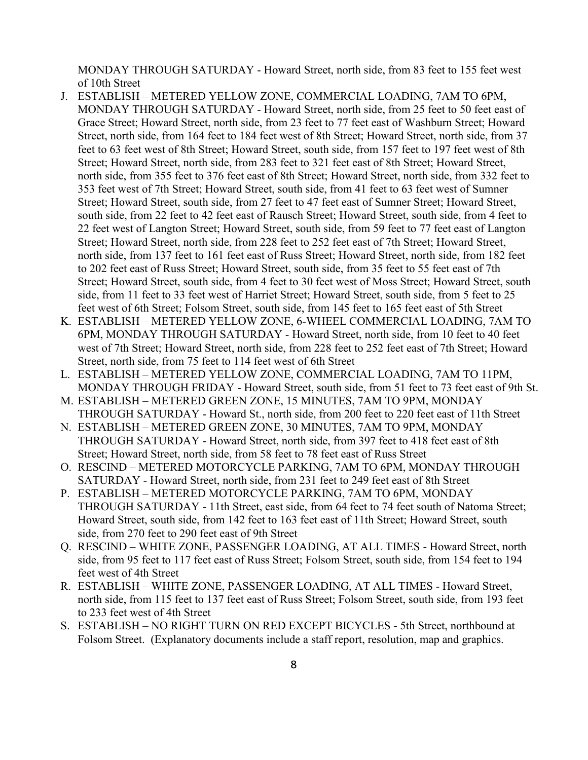MONDAY THROUGH SATURDAY - Howard Street, north side, from 83 feet to 155 feet west of 10th Street

- J. ESTABLISH METERED YELLOW ZONE, COMMERCIAL LOADING, 7AM TO 6PM, MONDAY THROUGH SATURDAY - Howard Street, north side, from 25 feet to 50 feet east of Grace Street; Howard Street, north side, from 23 feet to 77 feet east of Washburn Street; Howard Street, north side, from 164 feet to 184 feet west of 8th Street; Howard Street, north side, from 37 feet to 63 feet west of 8th Street; Howard Street, south side, from 157 feet to 197 feet west of 8th Street; Howard Street, north side, from 283 feet to 321 feet east of 8th Street; Howard Street, north side, from 355 feet to 376 feet east of 8th Street; Howard Street, north side, from 332 feet to 353 feet west of 7th Street; Howard Street, south side, from 41 feet to 63 feet west of Sumner Street; Howard Street, south side, from 27 feet to 47 feet east of Sumner Street; Howard Street, south side, from 22 feet to 42 feet east of Rausch Street; Howard Street, south side, from 4 feet to 22 feet west of Langton Street; Howard Street, south side, from 59 feet to 77 feet east of Langton Street; Howard Street, north side, from 228 feet to 252 feet east of 7th Street; Howard Street, north side, from 137 feet to 161 feet east of Russ Street; Howard Street, north side, from 182 feet to 202 feet east of Russ Street; Howard Street, south side, from 35 feet to 55 feet east of 7th Street; Howard Street, south side, from 4 feet to 30 feet west of Moss Street; Howard Street, south side, from 11 feet to 33 feet west of Harriet Street; Howard Street, south side, from 5 feet to 25 feet west of 6th Street; Folsom Street, south side, from 145 feet to 165 feet east of 5th Street
- K. ESTABLISH METERED YELLOW ZONE, 6-WHEEL COMMERCIAL LOADING, 7AM TO 6PM, MONDAY THROUGH SATURDAY - Howard Street, north side, from 10 feet to 40 feet west of 7th Street; Howard Street, north side, from 228 feet to 252 feet east of 7th Street; Howard Street, north side, from 75 feet to 114 feet west of 6th Street
- L. ESTABLISH METERED YELLOW ZONE, COMMERCIAL LOADING, 7AM TO 11PM, MONDAY THROUGH FRIDAY - Howard Street, south side, from 51 feet to 73 feet east of 9th St.
- M. ESTABLISH METERED GREEN ZONE, 15 MINUTES, 7AM TO 9PM, MONDAY THROUGH SATURDAY - Howard St., north side, from 200 feet to 220 feet east of 11th Street
- N. ESTABLISH METERED GREEN ZONE, 30 MINUTES, 7AM TO 9PM, MONDAY THROUGH SATURDAY - Howard Street, north side, from 397 feet to 418 feet east of 8th Street; Howard Street, north side, from 58 feet to 78 feet east of Russ Street
- O. RESCIND METERED MOTORCYCLE PARKING, 7AM TO 6PM, MONDAY THROUGH SATURDAY - Howard Street, north side, from 231 feet to 249 feet east of 8th Street
- P. ESTABLISH METERED MOTORCYCLE PARKING, 7AM TO 6PM, MONDAY THROUGH SATURDAY - 11th Street, east side, from 64 feet to 74 feet south of Natoma Street; Howard Street, south side, from 142 feet to 163 feet east of 11th Street; Howard Street, south side, from 270 feet to 290 feet east of 9th Street
- Q. RESCIND WHITE ZONE, PASSENGER LOADING, AT ALL TIMES Howard Street, north side, from 95 feet to 117 feet east of Russ Street; Folsom Street, south side, from 154 feet to 194 feet west of 4th Street
- R. ESTABLISH WHITE ZONE, PASSENGER LOADING, AT ALL TIMES Howard Street, north side, from 115 feet to 137 feet east of Russ Street; Folsom Street, south side, from 193 feet to 233 feet west of 4th Street
- S. ESTABLISH NO RIGHT TURN ON RED EXCEPT BICYCLES 5th Street, northbound at Folsom Street. (Explanatory documents include a staff report, resolution, map and graphics.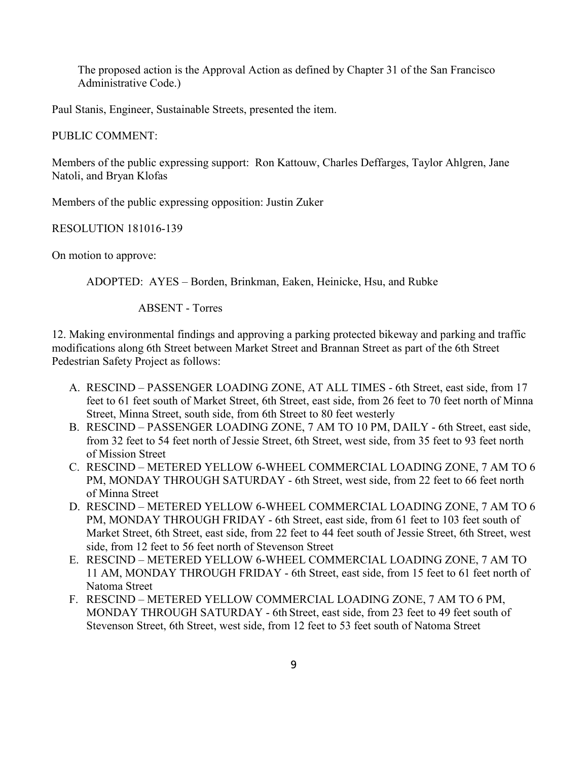The proposed action is the Approval Action as defined by Chapter 31 of the San Francisco Administrative Code.)

Paul Stanis, Engineer, Sustainable Streets, presented the item.

PUBLIC COMMENT:

Members of the public expressing support: Ron Kattouw, Charles Deffarges, Taylor Ahlgren, Jane Natoli, and Bryan Klofas

Members of the public expressing opposition: Justin Zuker

RESOLUTION 181016-139

On motion to approve:

ADOPTED: AYES – Borden, Brinkman, Eaken, Heinicke, Hsu, and Rubke

ABSENT - Torres

12. Making environmental findings and approving a parking protected bikeway and parking and traffic modifications along 6th Street between Market Street and Brannan Street as part of the 6th Street Pedestrian Safety Project as follows:

- A. RESCIND PASSENGER LOADING ZONE, AT ALL TIMES 6th Street, east side, from 17 feet to 61 feet south of Market Street, 6th Street, east side, from 26 feet to 70 feet north of Minna Street, Minna Street, south side, from 6th Street to 80 feet westerly
- B. RESCIND PASSENGER LOADING ZONE, 7 AM TO 10 PM, DAILY 6th Street, east side, from 32 feet to 54 feet north of Jessie Street, 6th Street, west side, from 35 feet to 93 feet north of Mission Street
- C. RESCIND METERED YELLOW 6-WHEEL COMMERCIAL LOADING ZONE, 7 AM TO 6 PM, MONDAY THROUGH SATURDAY - 6th Street, west side, from 22 feet to 66 feet north of Minna Street
- D. RESCIND METERED YELLOW 6-WHEEL COMMERCIAL LOADING ZONE, 7 AM TO 6 PM, MONDAY THROUGH FRIDAY - 6th Street, east side, from 61 feet to 103 feet south of Market Street, 6th Street, east side, from 22 feet to 44 feet south of Jessie Street, 6th Street, west side, from 12 feet to 56 feet north of Stevenson Street
- E. RESCIND METERED YELLOW 6-WHEEL COMMERCIAL LOADING ZONE, 7 AM TO 11 AM, MONDAY THROUGH FRIDAY - 6th Street, east side, from 15 feet to 61 feet north of Natoma Street
- F. RESCIND METERED YELLOW COMMERCIAL LOADING ZONE, 7 AM TO 6 PM, MONDAY THROUGH SATURDAY - 6th Street, east side, from 23 feet to 49 feet south of Stevenson Street, 6th Street, west side, from 12 feet to 53 feet south of Natoma Street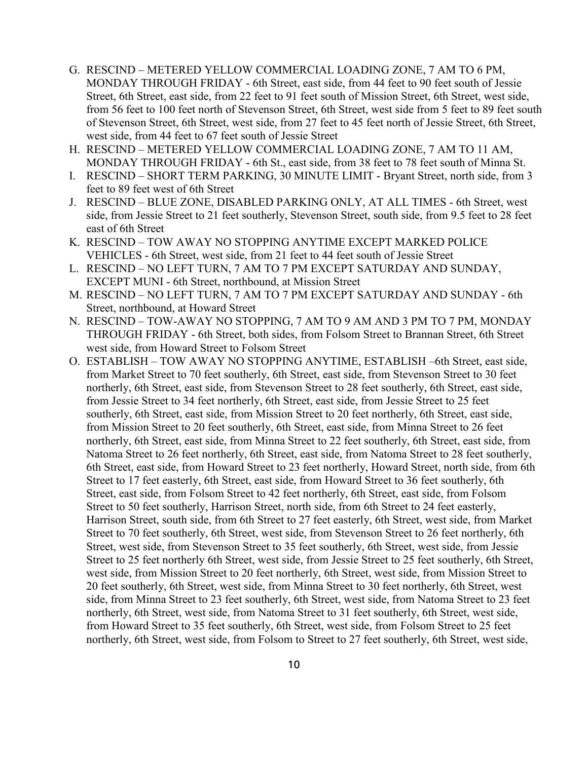- G. RESCIND METERED YELLOW COMMERCIAL LOADING ZONE, 7 AM TO 6 PM, MONDAY THROUGH FRIDAY - 6th Street, east side, from 44 feet to 90 feet south of Jessie Street, 6th Street, east side, from 22 feet to 91 feet south of Mission Street, 6th Street, west side, from 56 feet to 100 feet north of Stevenson Street, 6th Street, west side from 5 feet to 89 feet south of Stevenson Street, 6th Street, west side, from 27 feet to 45 feet north of Jessie Street, 6th Street, west side, from 44 feet to 67 feet south of Jessie Street
- H. RESCIND METERED YELLOW COMMERCIAL LOADING ZONE, 7 AM TO 11 AM, MONDAY THROUGH FRIDAY - 6th St., east side, from 38 feet to 78 feet south of Minna St.
- I. RESCIND SHORT TERM PARKING, 30 MINUTE LIMIT Bryant Street, north side, from 3 feet to 89 feet west of 6th Street
- J. RESCIND BLUE ZONE, DISABLED PARKING ONLY, AT ALL TIMES 6th Street, west side, from Jessie Street to 21 feet southerly, Stevenson Street, south side, from 9.5 feet to 28 feet east of 6th Street
- K. RESCIND TOW AWAY NO STOPPING ANYTIME EXCEPT MARKED POLICE VEHICLES - 6th Street, west side, from 21 feet to 44 feet south of Jessie Street
- L. RESCIND NO LEFT TURN, 7 AM TO 7 PM EXCEPT SATURDAY AND SUNDAY, EXCEPT MUNI - 6th Street, northbound, at Mission Street
- M. RESCIND NO LEFT TURN, 7 AM TO 7 PM EXCEPT SATURDAY AND SUNDAY 6th Street, northbound, at Howard Street
- N. RESCIND TOW-AWAY NO STOPPING, 7 AM TO 9 AM AND 3 PM TO 7 PM, MONDAY THROUGH FRIDAY - 6th Street, both sides, from Folsom Street to Brannan Street, 6th Street west side, from Howard Street to Folsom Street
- O. ESTABLISH TOW AWAY NO STOPPING ANYTIME, ESTABLISH –6th Street, east side, from Market Street to 70 feet southerly, 6th Street, east side, from Stevenson Street to 30 feet northerly, 6th Street, east side, from Stevenson Street to 28 feet southerly, 6th Street, east side, from Jessie Street to 34 feet northerly, 6th Street, east side, from Jessie Street to 25 feet southerly, 6th Street, east side, from Mission Street to 20 feet northerly, 6th Street, east side, from Mission Street to 20 feet southerly, 6th Street, east side, from Minna Street to 26 feet northerly, 6th Street, east side, from Minna Street to 22 feet southerly, 6th Street, east side, from Natoma Street to 26 feet northerly, 6th Street, east side, from Natoma Street to 28 feet southerly, 6th Street, east side, from Howard Street to 23 feet northerly, Howard Street, north side, from 6th Street to 17 feet easterly, 6th Street, east side, from Howard Street to 36 feet southerly, 6th Street, east side, from Folsom Street to 42 feet northerly, 6th Street, east side, from Folsom Street to 50 feet southerly, Harrison Street, north side, from 6th Street to 24 feet easterly, Harrison Street, south side, from 6th Street to 27 feet easterly, 6th Street, west side, from Market Street to 70 feet southerly, 6th Street, west side, from Stevenson Street to 26 feet northerly, 6th Street, west side, from Stevenson Street to 35 feet southerly, 6th Street, west side, from Jessie Street to 25 feet northerly 6th Street, west side, from Jessie Street to 25 feet southerly, 6th Street, west side, from Mission Street to 20 feet northerly, 6th Street, west side, from Mission Street to 20 feet southerly, 6th Street, west side, from Minna Street to 30 feet northerly, 6th Street, west side, from Minna Street to 23 feet southerly, 6th Street, west side, from Natoma Street to 23 feet northerly, 6th Street, west side, from Natoma Street to 31 feet southerly, 6th Street, west side, from Howard Street to 35 feet southerly, 6th Street, west side, from Folsom Street to 25 feet northerly, 6th Street, west side, from Folsom to Street to 27 feet southerly, 6th Street, west side,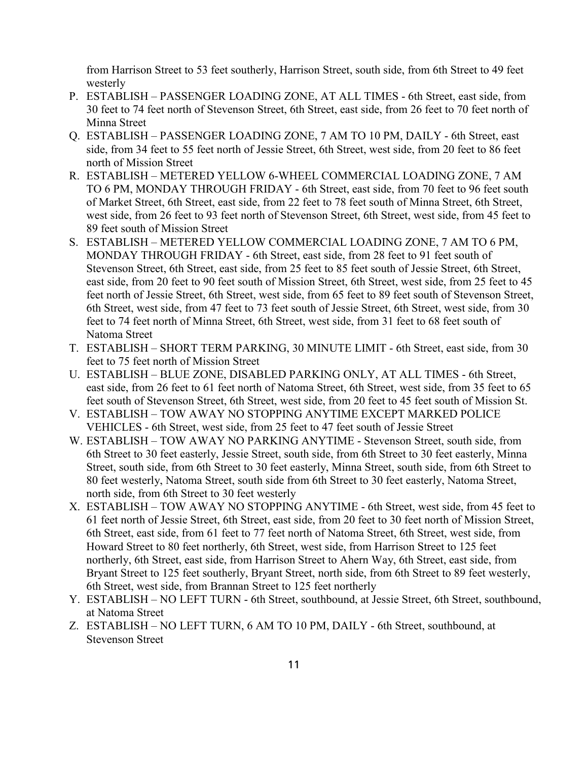from Harrison Street to 53 feet southerly, Harrison Street, south side, from 6th Street to 49 feet westerly

- P. ESTABLISH PASSENGER LOADING ZONE, AT ALL TIMES 6th Street, east side, from 30 feet to 74 feet north of Stevenson Street, 6th Street, east side, from 26 feet to 70 feet north of Minna Street
- Q. ESTABLISH PASSENGER LOADING ZONE, 7 AM TO 10 PM, DAILY 6th Street, east side, from 34 feet to 55 feet north of Jessie Street, 6th Street, west side, from 20 feet to 86 feet north of Mission Street
- R. ESTABLISH METERED YELLOW 6-WHEEL COMMERCIAL LOADING ZONE, 7 AM TO 6 PM, MONDAY THROUGH FRIDAY - 6th Street, east side, from 70 feet to 96 feet south of Market Street, 6th Street, east side, from 22 feet to 78 feet south of Minna Street, 6th Street, west side, from 26 feet to 93 feet north of Stevenson Street, 6th Street, west side, from 45 feet to 89 feet south of Mission Street
- S. ESTABLISH METERED YELLOW COMMERCIAL LOADING ZONE, 7 AM TO 6 PM, MONDAY THROUGH FRIDAY - 6th Street, east side, from 28 feet to 91 feet south of Stevenson Street, 6th Street, east side, from 25 feet to 85 feet south of Jessie Street, 6th Street, east side, from 20 feet to 90 feet south of Mission Street, 6th Street, west side, from 25 feet to 45 feet north of Jessie Street, 6th Street, west side, from 65 feet to 89 feet south of Stevenson Street, 6th Street, west side, from 47 feet to 73 feet south of Jessie Street, 6th Street, west side, from 30 feet to 74 feet north of Minna Street, 6th Street, west side, from 31 feet to 68 feet south of Natoma Street
- T. ESTABLISH SHORT TERM PARKING, 30 MINUTE LIMIT 6th Street, east side, from 30 feet to 75 feet north of Mission Street
- U. ESTABLISH BLUE ZONE, DISABLED PARKING ONLY, AT ALL TIMES 6th Street, east side, from 26 feet to 61 feet north of Natoma Street, 6th Street, west side, from 35 feet to 65 feet south of Stevenson Street, 6th Street, west side, from 20 feet to 45 feet south of Mission St.
- V. ESTABLISH TOW AWAY NO STOPPING ANYTIME EXCEPT MARKED POLICE VEHICLES - 6th Street, west side, from 25 feet to 47 feet south of Jessie Street
- W. ESTABLISH TOW AWAY NO PARKING ANYTIME Stevenson Street, south side, from 6th Street to 30 feet easterly, Jessie Street, south side, from 6th Street to 30 feet easterly, Minna Street, south side, from 6th Street to 30 feet easterly, Minna Street, south side, from 6th Street to 80 feet westerly, Natoma Street, south side from 6th Street to 30 feet easterly, Natoma Street, north side, from 6th Street to 30 feet westerly
- X. ESTABLISH TOW AWAY NO STOPPING ANYTIME 6th Street, west side, from 45 feet to 61 feet north of Jessie Street, 6th Street, east side, from 20 feet to 30 feet north of Mission Street, 6th Street, east side, from 61 feet to 77 feet north of Natoma Street, 6th Street, west side, from Howard Street to 80 feet northerly, 6th Street, west side, from Harrison Street to 125 feet northerly, 6th Street, east side, from Harrison Street to Ahern Way, 6th Street, east side, from Bryant Street to 125 feet southerly, Bryant Street, north side, from 6th Street to 89 feet westerly, 6th Street, west side, from Brannan Street to 125 feet northerly
- Y. ESTABLISH NO LEFT TURN 6th Street, southbound, at Jessie Street, 6th Street, southbound, at Natoma Street
- Z. ESTABLISH NO LEFT TURN, 6 AM TO 10 PM, DAILY 6th Street, southbound, at Stevenson Street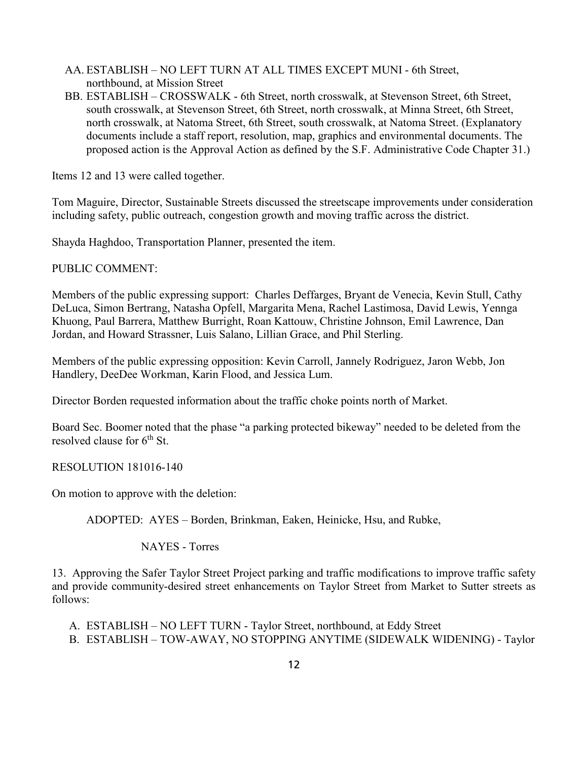- AA. ESTABLISH NO LEFT TURN AT ALL TIMES EXCEPT MUNI 6th Street, northbound, at Mission Street
- BB. ESTABLISH CROSSWALK 6th Street, north crosswalk, at Stevenson Street, 6th Street, south crosswalk, at Stevenson Street, 6th Street, north crosswalk, at Minna Street, 6th Street, north crosswalk, at Natoma Street, 6th Street, south crosswalk, at Natoma Street. (Explanatory documents include a staff report, resolution, map, graphics and environmental documents. The proposed action is the Approval Action as defined by the S.F. Administrative Code Chapter 31.)

Items 12 and 13 were called together.

Tom Maguire, Director, Sustainable Streets discussed the streetscape improvements under consideration including safety, public outreach, congestion growth and moving traffic across the district.

Shayda Haghdoo, Transportation Planner, presented the item.

PUBLIC COMMENT:

Members of the public expressing support: Charles Deffarges, Bryant de Venecia, Kevin Stull, Cathy DeLuca, Simon Bertrang, Natasha Opfell, Margarita Mena, Rachel Lastimosa, David Lewis, Yennga Khuong, Paul Barrera, Matthew Burright, Roan Kattouw, Christine Johnson, Emil Lawrence, Dan Jordan, and Howard Strassner, Luis Salano, Lillian Grace, and Phil Sterling.

Members of the public expressing opposition: Kevin Carroll, Jannely Rodriguez, Jaron Webb, Jon Handlery, DeeDee Workman, Karin Flood, and Jessica Lum.

Director Borden requested information about the traffic choke points north of Market.

Board Sec. Boomer noted that the phase "a parking protected bikeway" needed to be deleted from the resolved clause for 6<sup>th</sup> St.

RESOLUTION 181016-140

On motion to approve with the deletion:

ADOPTED: AYES – Borden, Brinkman, Eaken, Heinicke, Hsu, and Rubke,

NAYES - Torres

13. Approving the Safer Taylor Street Project parking and traffic modifications to improve traffic safety and provide community-desired street enhancements on Taylor Street from Market to Sutter streets as follows:

- A. ESTABLISH NO LEFT TURN Taylor Street, northbound, at Eddy Street
- B. ESTABLISH TOW-AWAY, NO STOPPING ANYTIME (SIDEWALK WIDENING) Taylor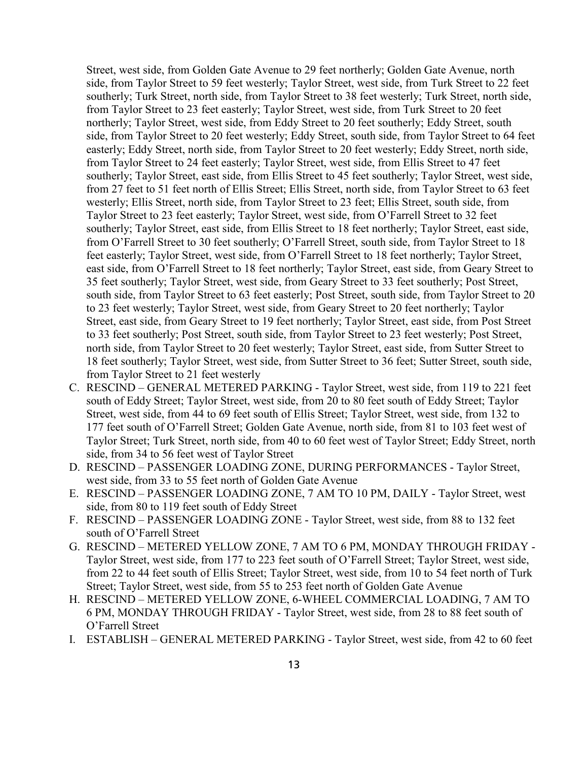Street, west side, from Golden Gate Avenue to 29 feet northerly; Golden Gate Avenue, north side, from Taylor Street to 59 feet westerly; Taylor Street, west side, from Turk Street to 22 feet southerly; Turk Street, north side, from Taylor Street to 38 feet westerly; Turk Street, north side, from Taylor Street to 23 feet easterly; Taylor Street, west side, from Turk Street to 20 feet northerly; Taylor Street, west side, from Eddy Street to 20 feet southerly; Eddy Street, south side, from Taylor Street to 20 feet westerly; Eddy Street, south side, from Taylor Street to 64 feet easterly; Eddy Street, north side, from Taylor Street to 20 feet westerly; Eddy Street, north side, from Taylor Street to 24 feet easterly; Taylor Street, west side, from Ellis Street to 47 feet southerly; Taylor Street, east side, from Ellis Street to 45 feet southerly; Taylor Street, west side, from 27 feet to 51 feet north of Ellis Street; Ellis Street, north side, from Taylor Street to 63 feet westerly; Ellis Street, north side, from Taylor Street to 23 feet; Ellis Street, south side, from Taylor Street to 23 feet easterly; Taylor Street, west side, from O'Farrell Street to 32 feet southerly; Taylor Street, east side, from Ellis Street to 18 feet northerly; Taylor Street, east side, from O'Farrell Street to 30 feet southerly; O'Farrell Street, south side, from Taylor Street to 18 feet easterly; Taylor Street, west side, from O'Farrell Street to 18 feet northerly; Taylor Street, east side, from O'Farrell Street to 18 feet northerly; Taylor Street, east side, from Geary Street to 35 feet southerly; Taylor Street, west side, from Geary Street to 33 feet southerly; Post Street, south side, from Taylor Street to 63 feet easterly; Post Street, south side, from Taylor Street to 20 to 23 feet westerly; Taylor Street, west side, from Geary Street to 20 feet northerly; Taylor Street, east side, from Geary Street to 19 feet northerly; Taylor Street, east side, from Post Street to 33 feet southerly; Post Street, south side, from Taylor Street to 23 feet westerly; Post Street, north side, from Taylor Street to 20 feet westerly; Taylor Street, east side, from Sutter Street to 18 feet southerly; Taylor Street, west side, from Sutter Street to 36 feet; Sutter Street, south side, from Taylor Street to 21 feet westerly

- C. RESCIND GENERAL METERED PARKING Taylor Street, west side, from 119 to 221 feet south of Eddy Street; Taylor Street, west side, from 20 to 80 feet south of Eddy Street; Taylor Street, west side, from 44 to 69 feet south of Ellis Street; Taylor Street, west side, from 132 to 177 feet south of O'Farrell Street; Golden Gate Avenue, north side, from 81 to 103 feet west of Taylor Street; Turk Street, north side, from 40 to 60 feet west of Taylor Street; Eddy Street, north side, from 34 to 56 feet west of Taylor Street
- D. RESCIND PASSENGER LOADING ZONE, DURING PERFORMANCES Taylor Street, west side, from 33 to 55 feet north of Golden Gate Avenue
- E. RESCIND PASSENGER LOADING ZONE, 7 AM TO 10 PM, DAILY Taylor Street, west side, from 80 to 119 feet south of Eddy Street
- F. RESCIND PASSENGER LOADING ZONE Taylor Street, west side, from 88 to 132 feet south of O'Farrell Street
- G. RESCIND METERED YELLOW ZONE, 7 AM TO 6 PM, MONDAY THROUGH FRIDAY Taylor Street, west side, from 177 to 223 feet south of O'Farrell Street; Taylor Street, west side, from 22 to 44 feet south of Ellis Street; Taylor Street, west side, from 10 to 54 feet north of Turk Street; Taylor Street, west side, from 55 to 253 feet north of Golden Gate Avenue
- H. RESCIND METERED YELLOW ZONE, 6-WHEEL COMMERCIAL LOADING, 7 AM TO 6 PM, MONDAY THROUGH FRIDAY - Taylor Street, west side, from 28 to 88 feet south of O'Farrell Street
- I. ESTABLISH GENERAL METERED PARKING Taylor Street, west side, from 42 to 60 feet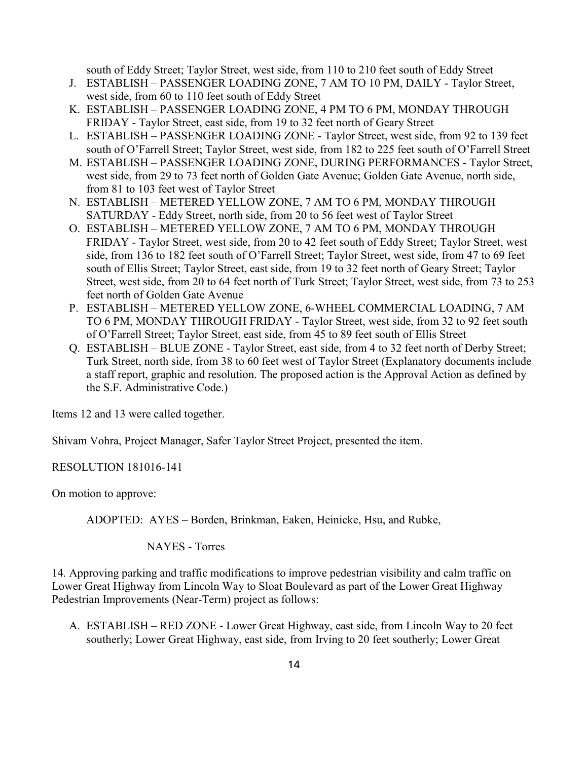south of Eddy Street; Taylor Street, west side, from 110 to 210 feet south of Eddy Street

- J. ESTABLISH PASSENGER LOADING ZONE, 7 AM TO 10 PM, DAILY Taylor Street, west side, from 60 to 110 feet south of Eddy Street
- K. ESTABLISH PASSENGER LOADING ZONE, 4 PM TO 6 PM, MONDAY THROUGH FRIDAY - Taylor Street, east side, from 19 to 32 feet north of Geary Street
- L. ESTABLISH PASSENGER LOADING ZONE Taylor Street, west side, from 92 to 139 feet south of O'Farrell Street; Taylor Street, west side, from 182 to 225 feet south of O'Farrell Street
- M. ESTABLISH PASSENGER LOADING ZONE, DURING PERFORMANCES Taylor Street, west side, from 29 to 73 feet north of Golden Gate Avenue; Golden Gate Avenue, north side, from 81 to 103 feet west of Taylor Street
- N. ESTABLISH METERED YELLOW ZONE, 7 AM TO 6 PM, MONDAY THROUGH SATURDAY - Eddy Street, north side, from 20 to 56 feet west of Taylor Street
- O. ESTABLISH METERED YELLOW ZONE, 7 AM TO 6 PM, MONDAY THROUGH FRIDAY - Taylor Street, west side, from 20 to 42 feet south of Eddy Street; Taylor Street, west side, from 136 to 182 feet south of O'Farrell Street; Taylor Street, west side, from 47 to 69 feet south of Ellis Street; Taylor Street, east side, from 19 to 32 feet north of Geary Street; Taylor Street, west side, from 20 to 64 feet north of Turk Street; Taylor Street, west side, from 73 to 253 feet north of Golden Gate Avenue
- P. ESTABLISH METERED YELLOW ZONE, 6-WHEEL COMMERCIAL LOADING, 7 AM TO 6 PM, MONDAY THROUGH FRIDAY - Taylor Street, west side, from 32 to 92 feet south of O'Farrell Street; Taylor Street, east side, from 45 to 89 feet south of Ellis Street
- Q. ESTABLISH BLUE ZONE Taylor Street, east side, from 4 to 32 feet north of Derby Street; Turk Street, north side, from 38 to 60 feet west of Taylor Street (Explanatory documents include a staff report, graphic and resolution. The proposed action is the Approval Action as defined by the S.F. Administrative Code.)

Items 12 and 13 were called together.

Shivam Vohra, Project Manager, Safer Taylor Street Project, presented the item.

RESOLUTION 181016-141

On motion to approve:

ADOPTED: AYES – Borden, Brinkman, Eaken, Heinicke, Hsu, and Rubke,

NAYES - Torres

14. Approving parking and traffic modifications to improve pedestrian visibility and calm traffic on Lower Great Highway from Lincoln Way to Sloat Boulevard as part of the Lower Great Highway Pedestrian Improvements (Near-Term) project as follows:

A. ESTABLISH – RED ZONE - Lower Great Highway, east side, from Lincoln Way to 20 feet southerly; Lower Great Highway, east side, from Irving to 20 feet southerly; Lower Great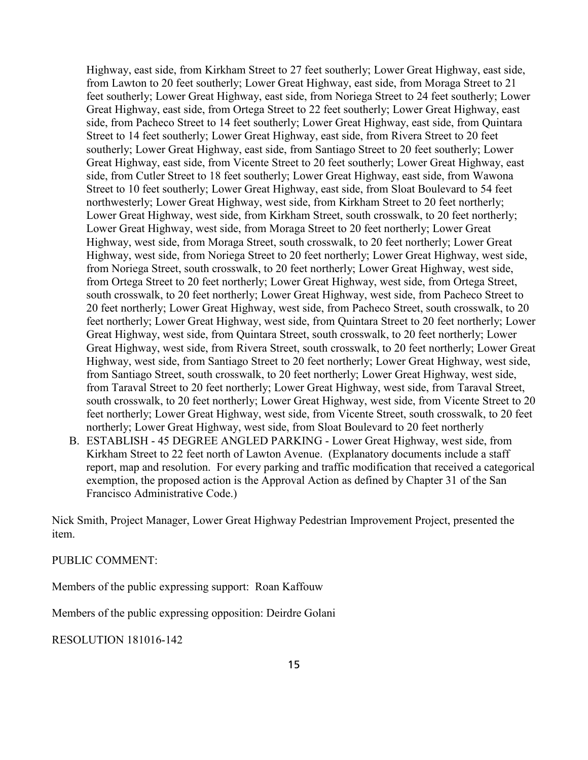Highway, east side, from Kirkham Street to 27 feet southerly; Lower Great Highway, east side, from Lawton to 20 feet southerly; Lower Great Highway, east side, from Moraga Street to 21 feet southerly; Lower Great Highway, east side, from Noriega Street to 24 feet southerly; Lower Great Highway, east side, from Ortega Street to 22 feet southerly; Lower Great Highway, east side, from Pacheco Street to 14 feet southerly; Lower Great Highway, east side, from Quintara Street to 14 feet southerly; Lower Great Highway, east side, from Rivera Street to 20 feet southerly; Lower Great Highway, east side, from Santiago Street to 20 feet southerly; Lower Great Highway, east side, from Vicente Street to 20 feet southerly; Lower Great Highway, east side, from Cutler Street to 18 feet southerly; Lower Great Highway, east side, from Wawona Street to 10 feet southerly; Lower Great Highway, east side, from Sloat Boulevard to 54 feet northwesterly; Lower Great Highway, west side, from Kirkham Street to 20 feet northerly; Lower Great Highway, west side, from Kirkham Street, south crosswalk, to 20 feet northerly; Lower Great Highway, west side, from Moraga Street to 20 feet northerly; Lower Great Highway, west side, from Moraga Street, south crosswalk, to 20 feet northerly; Lower Great Highway, west side, from Noriega Street to 20 feet northerly; Lower Great Highway, west side, from Noriega Street, south crosswalk, to 20 feet northerly; Lower Great Highway, west side, from Ortega Street to 20 feet northerly; Lower Great Highway, west side, from Ortega Street, south crosswalk, to 20 feet northerly; Lower Great Highway, west side, from Pacheco Street to 20 feet northerly; Lower Great Highway, west side, from Pacheco Street, south crosswalk, to 20 feet northerly; Lower Great Highway, west side, from Quintara Street to 20 feet northerly; Lower Great Highway, west side, from Quintara Street, south crosswalk, to 20 feet northerly; Lower Great Highway, west side, from Rivera Street, south crosswalk, to 20 feet northerly; Lower Great Highway, west side, from Santiago Street to 20 feet northerly; Lower Great Highway, west side, from Santiago Street, south crosswalk, to 20 feet northerly; Lower Great Highway, west side, from Taraval Street to 20 feet northerly; Lower Great Highway, west side, from Taraval Street, south crosswalk, to 20 feet northerly; Lower Great Highway, west side, from Vicente Street to 20 feet northerly; Lower Great Highway, west side, from Vicente Street, south crosswalk, to 20 feet northerly; Lower Great Highway, west side, from Sloat Boulevard to 20 feet northerly

B. ESTABLISH - 45 DEGREE ANGLED PARKING - Lower Great Highway, west side, from Kirkham Street to 22 feet north of Lawton Avenue. (Explanatory documents include a staff report, map and resolution. For every parking and traffic modification that received a categorical exemption, the proposed action is the Approval Action as defined by Chapter 31 of the San Francisco Administrative Code.)

Nick Smith, Project Manager, Lower Great Highway Pedestrian Improvement Project, presented the item.

## PUBLIC COMMENT:

Members of the public expressing support: Roan Kaffouw

Members of the public expressing opposition: Deirdre Golani

RESOLUTION 181016-142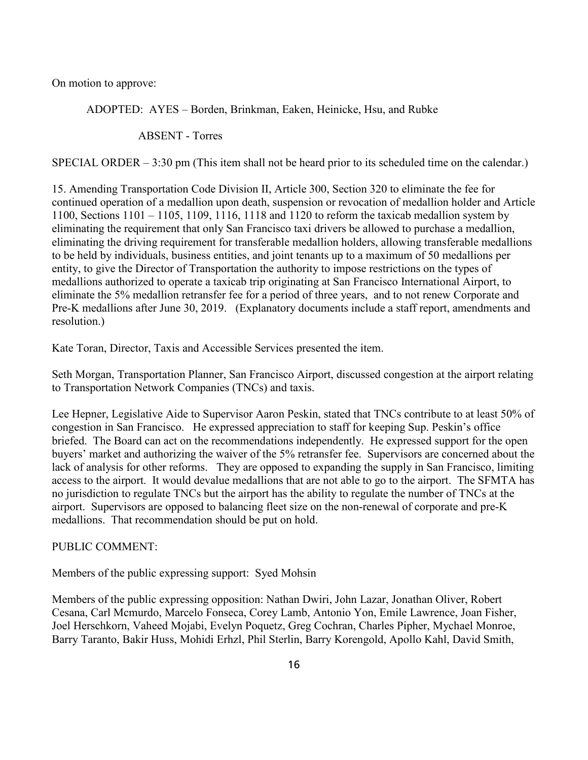On motion to approve:

ADOPTED: AYES – Borden, Brinkman, Eaken, Heinicke, Hsu, and Rubke

ABSENT - Torres

SPECIAL ORDER – 3:30 pm (This item shall not be heard prior to its scheduled time on the calendar.)

15. Amending Transportation Code Division II, Article 300, Section 320 to eliminate the fee for continued operation of a medallion upon death, suspension or revocation of medallion holder and Article 1100, Sections 1101 – 1105, 1109, 1116, 1118 and 1120 to reform the taxicab medallion system by eliminating the requirement that only San Francisco taxi drivers be allowed to purchase a medallion, eliminating the driving requirement for transferable medallion holders, allowing transferable medallions to be held by individuals, business entities, and joint tenants up to a maximum of 50 medallions per entity, to give the Director of Transportation the authority to impose restrictions on the types of medallions authorized to operate a taxicab trip originating at San Francisco International Airport, to eliminate the 5% medallion retransfer fee for a period of three years, and to not renew Corporate and Pre-K medallions after June 30, 2019. (Explanatory documents include a staff report, amendments and resolution.)

Kate Toran, Director, Taxis and Accessible Services presented the item.

Seth Morgan, Transportation Planner, San Francisco Airport, discussed congestion at the airport relating to Transportation Network Companies (TNCs) and taxis.

Lee Hepner, Legislative Aide to Supervisor Aaron Peskin, stated that TNCs contribute to at least 50% of congestion in San Francisco. He expressed appreciation to staff for keeping Sup. Peskin's office briefed. The Board can act on the recommendations independently. He expressed support for the open buyers' market and authorizing the waiver of the 5% retransfer fee. Supervisors are concerned about the lack of analysis for other reforms. They are opposed to expanding the supply in San Francisco, limiting access to the airport. It would devalue medallions that are not able to go to the airport. The SFMTA has no jurisdiction to regulate TNCs but the airport has the ability to regulate the number of TNCs at the airport. Supervisors are opposed to balancing fleet size on the non-renewal of corporate and pre-K medallions. That recommendation should be put on hold.

## PUBLIC COMMENT:

Members of the public expressing support: Syed Mohsin

Members of the public expressing opposition: Nathan Dwiri, John Lazar, Jonathan Oliver, Robert Cesana, Carl Mcmurdo, Marcelo Fonseca, Corey Lamb, Antonio Yon, Emile Lawrence, Joan Fisher, Joel Herschkorn, Vaheed Mojabi, Evelyn Poquetz, Greg Cochran, Charles Pipher, Mychael Monroe, Barry Taranto, Bakir Huss, Mohidi Erhzl, Phil Sterlin, Barry Korengold, Apollo Kahl, David Smith,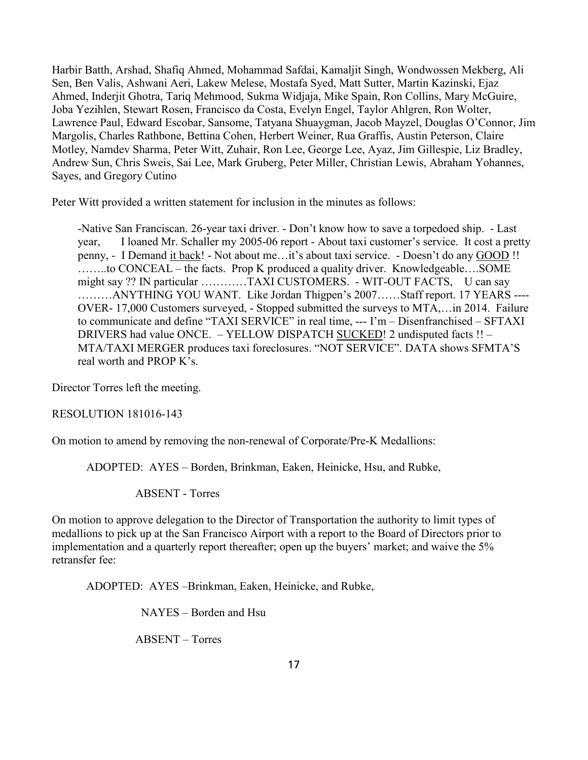Harbir Batth, Arshad, Shafiq Ahmed, Mohammad Safdai, Kamaljit Singh, Wondwossen Mekberg, Ali Sen, Ben Valis, Ashwani Aeri, Lakew Melese, Mostafa Syed, Matt Sutter, Martin Kazinski, Ejaz Ahmed, Inderjit Ghotra, Tariq Mehmood, Sukma Widjaja, Mike Spain, Ron Collins, Mary McGuire, Joba Yezihlen, Stewart Rosen, Francisco da Costa, Evelyn Engel, Taylor Ahlgren, Ron Wolter, Lawrence Paul, Edward Escobar, Sansome, Tatyana Shuaygman, Jacob Mayzel, Douglas O'Connor, Jim Margolis, Charles Rathbone, Bettina Cohen, Herbert Weiner, Rua Graffis, Austin Peterson, Claire Motley, Namdev Sharma, Peter Witt, Zuhair, Ron Lee, George Lee, Ayaz, Jim Gillespie, Liz Bradley, Andrew Sun, Chris Sweis, Sai Lee, Mark Gruberg, Peter Miller, Christian Lewis, Abraham Yohannes, Sayes, and Gregory Cutino

Peter Witt provided a written statement for inclusion in the minutes as follows:

-Native San Franciscan. 26-year taxi driver. - Don't know how to save a torpedoed ship. - Last year, I loaned Mr. Schaller my 2005-06 report - About taxi customer's service. It cost a pretty penny, - I Demand it back! - Not about me…it's about taxi service. - Doesn't do any GOOD !! ……..to CONCEAL – the facts. Prop K produced a quality driver. Knowledgeable….SOME might say ?? IN particular …………TAXI CUSTOMERS. - WIT-OUT FACTS, U can say ………ANYTHING YOU WANT. Like Jordan Thigpen's 2007……Staff report. 17 YEARS ---- OVER- 17,000 Customers surveyed, - Stopped submitted the surveys to MTA,…in 2014. Failure to communicate and define "TAXI SERVICE" in real time, --- I'm – Disenfranchised – SFTAXI DRIVERS had value ONCE. – YELLOW DISPATCH SUCKED! 2 undisputed facts !! – MTA/TAXI MERGER produces taxi foreclosures. "NOT SERVICE". DATA shows SFMTA'S real worth and PROP K's.

Director Torres left the meeting.

RESOLUTION 181016-143

On motion to amend by removing the non-renewal of Corporate/Pre-K Medallions:

ADOPTED: AYES – Borden, Brinkman, Eaken, Heinicke, Hsu, and Rubke,

ABSENT - Torres

On motion to approve delegation to the Director of Transportation the authority to limit types of medallions to pick up at the San Francisco Airport with a report to the Board of Directors prior to implementation and a quarterly report thereafter; open up the buyers' market; and waive the 5% retransfer fee:

ADOPTED: AYES –Brinkman, Eaken, Heinicke, and Rubke,

NAYES – Borden and Hsu

ABSENT – Torres